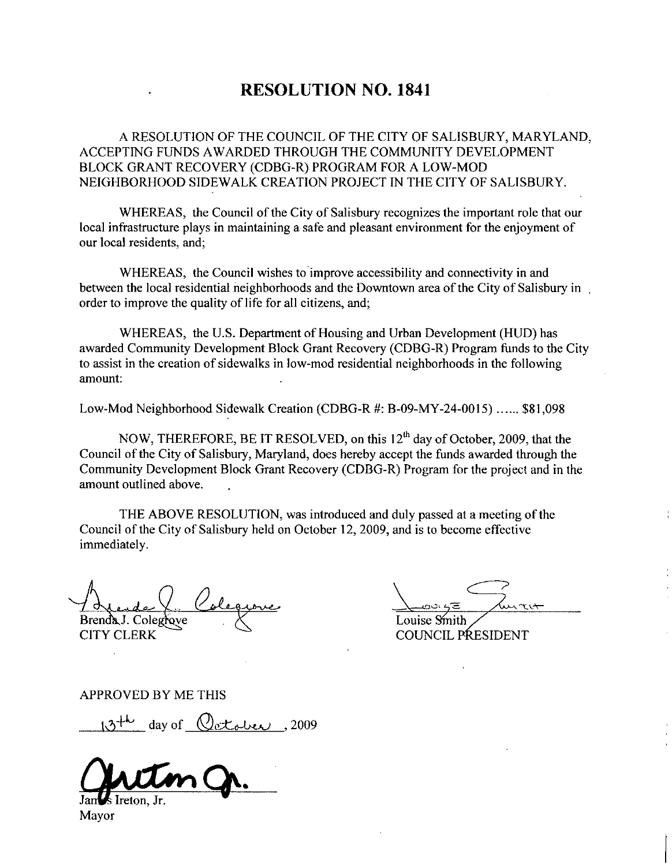## RESOLUTION NO. 1841

A RESOLUTION OF THE COUNCIL OF THE CITY OF SALISBURY MARYLAND ACCEPTING FUNDS AWARDED THROUGH THE COMMUNITY DEVELOPMENT A RESOLUTION OF THE COUNCIL OF THE CITY OF SALISBURY, MARYLA<br>ACCEPTING FUNDS AWARDED THROUGH THE COMMUNITY DEVELOPMENT<br>BLOCK GRANT RECOVERY (CDBG-R) PROGRAM FOR A LOW-MOD<br>NEIGHBORHOOD SIDEWALK CREATION PROJECT IN THE CITY

WHEREAS, the Council of the City of Salisbury recognizes the important role that our local infrastructure plays in maintaining a safe and pleasant environment for the enjoyment of our local residents, and;

WHEREAS, the Council wishes to improve accessibility and connectivity in and between the local residential neighborhoods and the Downtown area of the City of Salisbury in order to improve the quality of life for all citizens, and;

WHEREAS, the U.S. Department of Housing and Urban Development (HUD) has awarded Community Development Block Grant Recovery (CDBG-R) Program funds to the City to assist in the creation of sidewalks in lowmod residential neighborhoods in the following amount between the local residential neighborhoods and the Downtown area of the City of Salisbury<br>order to improve the quality of life for all citizens, and;<br>WHEREAS, the U.S. Department of Housing and Urban Development (HUD) has

NOW, THEREFORE, BE IT RESOLVED, on this  $12<sup>th</sup>$  day of October, 2009, that the Council of the City of Salisbury, Maryland, does hereby accept the funds awarded through the<br>Community Development Block Grant Recovery (CDBG-R) Program for the project and in the NOW, THEREFORE, BE IT RESOLVED, on this 12<sup>th</sup> day of October, 2009, that the Council of the City of Salisbury, Maryland, does hereby accept the funds awarded through the Community Development Block Grant Recovery (CDBG-R) amount outlined above

THE ABOVE RESOLUTION, was introduced and duly passed at a meeting of the Council of the City of Salisbury held on October 12, 2009, and is to become effective immediately

Brenda J. Colegrove

CITY CLERK

Louise Smith

COUNCIL PRESIDENT

APPROVED BY ME THIS

day of  $Q$  et ober , 2009

lreton. Jr

Mayor